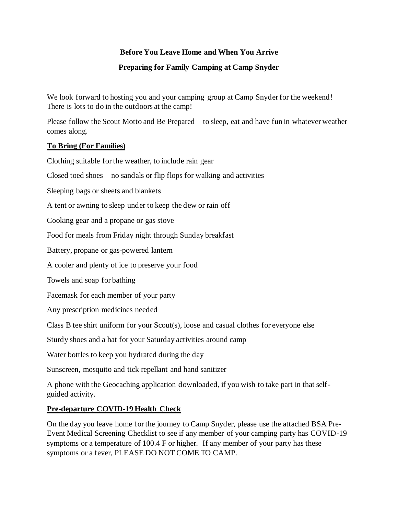# **Before You Leave Home and When You Arrive**

# **Preparing for Family Camping at Camp Snyder**

We look forward to hosting you and your camping group at Camp Snyder for the weekend! There is lots to do in the outdoors at the camp!

Please follow the Scout Motto and Be Prepared – to sleep, eat and have fun in whatever weather comes along.

## **To Bring (For Families)**

Clothing suitable for the weather, to include rain gear

Closed toed shoes – no sandals or flip flops for walking and activities

Sleeping bags or sheets and blankets

A tent or awning to sleep under to keep the dew or rain off

Cooking gear and a propane or gas stove

Food for meals from Friday night through Sunday breakfast

Battery, propane or gas-powered lantern

A cooler and plenty of ice to preserve your food

Towels and soap for bathing

Facemask for each member of your party

Any prescription medicines needed

Class B tee shirt uniform for your Scout(s), loose and casual clothes for everyone else

Sturdy shoes and a hat for your Saturday activities around camp

Water bottles to keep you hydrated during the day

Sunscreen, mosquito and tick repellant and hand sanitizer

A phone with the Geocaching application downloaded, if you wish to take part in that selfguided activity.

#### **Pre-departure COVID-19 Health Check**

On the day you leave home for the journey to Camp Snyder, please use the attached BSA Pre-Event Medical Screening Checklist to see if any member of your camping party has COVID-19 symptoms or a temperature of 100.4 F or higher. If any member of your party has these symptoms or a fever, PLEASE DO NOT COME TO CAMP.